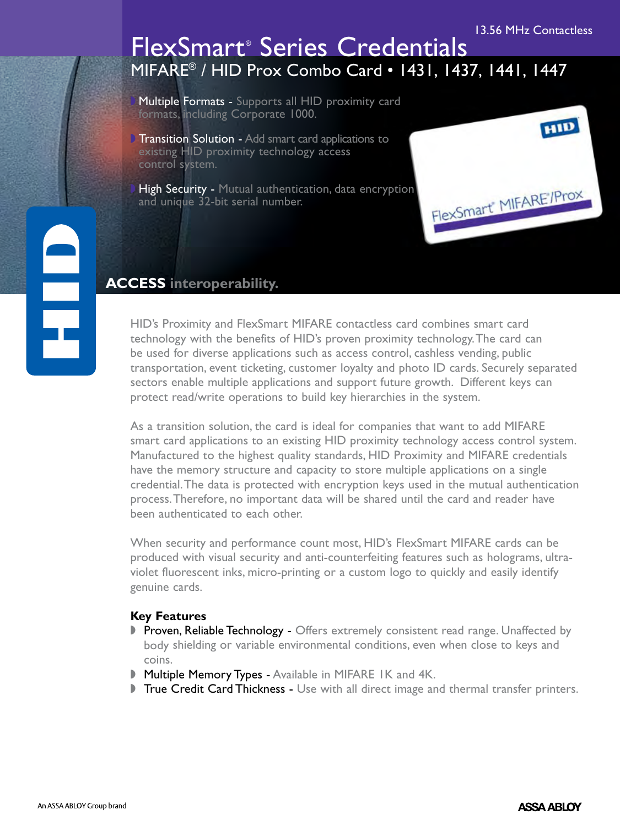# MIFARE® / HID Prox Combo Card • 1431, 1437, 1441, 1447 FlexSmart® Series Credentials

Multiple Formats - Supports all HID proximity card formats, including Corporate 1000.

**Transition Solution - Add smart card applications to** existing HID proximity technology access control system.

High Security - Mutual authentication, data encryption and unique 32-bit serial number.

### **ACCESS interoperability.**

HID's Proximity and FlexSmart MIFARE contactless card combines smart card technology with the benefits of HID's proven proximity technology. The card can be used for diverse applications such as access control, cashless vending, public transportation, event ticketing, customer loyalty and photo ID cards. Securely separated sectors enable multiple applications and support future growth. Different keys can protect read/write operations to build key hierarchies in the system.

As a transition solution, the card is ideal for companies that want to add MIFARE smart card applications to an existing HID proximity technology access control system. Manufactured to the highest quality standards, HID Proximity and MIFARE credentials have the memory structure and capacity to store multiple applications on a single credential. The data is protected with encryption keys used in the mutual authentication process. Therefore, no important data will be shared until the card and reader have been authenticated to each other.

When security and performance count most, HID's FlexSmart MIFARE cards can be produced with visual security and anti-counterfeiting features such as holograms, ultraviolet fluorescent inks, micro-printing or a custom logo to quickly and easily identify genuine cards.

### **Key Features**

- Proven, Reliable Technology Offers extremely consistent read range. Unaffected by body shielding or variable environmental conditions, even when close to keys and coins.
- **Multiple Memory Types Available in MIFARE IK and 4K.**
- True Credit Card Thickness Use with all direct image and thermal transfer printers.